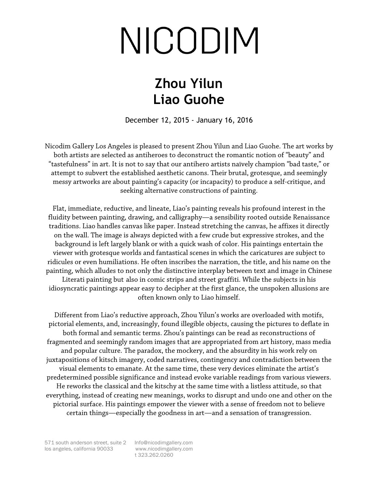## NICODIM

## **Zhou Yilun Liao Guohe**

December 12, 2015 - January 16, 2016

Nicodim Gallery Los Angeles is pleased to present Zhou Yilun and Liao Guohe. The art works by both artists are selected as antiheroes to deconstruct the romantic notion of "beauty" and "tastefulness" in art. It is not to say that our antihero artists naïvely champion "bad taste," or attempt to subvert the established aesthetic canons. Their brutal, grotesque, and seemingly messy artworks are about painting's capacity (or incapacity) to produce a self-critique, and seeking alternative constructions of painting.

Flat, immediate, reductive, and lineate, Liao's painting reveals his profound interest in the fluidity between painting, drawing, and calligraphy—a sensibility rooted outside Renaissance traditions. Liao handles canvas like paper. Instead stretching the canvas, he affixes it directly on the wall. The image is always depicted with a few crude but expressive strokes, and the background is left largely blank or with a quick wash of color. His paintings entertain the viewer with grotesque worlds and fantastical scenes in which the caricatures are subject to ridicules or even humiliations. He often inscribes the narration, the title, and his name on the painting, which alludes to not only the distinctive interplay between text and image in Chinese Literati painting but also in comic strips and street graffiti. While the subjects in his idiosyncratic paintings appear easy to decipher at the first glance, the unspoken allusions are often known only to Liao himself.

Different from Liao's reductive approach, Zhou Yilun's works are overloaded with motifs, pictorial elements, and, increasingly, found illegible objects, causing the pictures to deflate in both formal and semantic terms. Zhou's paintings can be read as reconstructions of fragmented and seemingly random images that are appropriated from art history, mass media and popular culture. The paradox, the mockery, and the absurdity in his work rely on juxtapositions of kitsch imagery, coded narratives, contingency and contradiction between the visual elements to emanate. At the same time, these very devices eliminate the artist's predetermined possible significance and instead evoke variable readings from various viewers. He reworks the classical and the kitschy at the same time with a listless attitude, so that everything, instead of creating new meanings, works to disrupt and undo one and other on the pictorial surface. His paintings empower the viewer with a sense of freedom not to believe certain things—especially the goodness in art—and a sensation of transgression.

t 323.262.0260